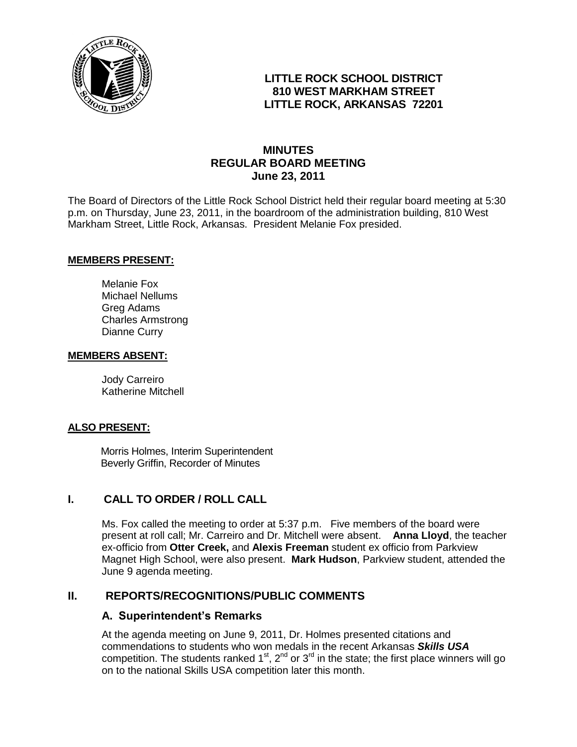

# **LITTLE ROCK SCHOOL DISTRICT 810 WEST MARKHAM STREET LITTLE ROCK, ARKANSAS 72201**

# **MINUTES REGULAR BOARD MEETING June 23, 2011**

The Board of Directors of the Little Rock School District held their regular board meeting at 5:30 p.m. on Thursday, June 23, 2011, in the boardroom of the administration building, 810 West Markham Street, Little Rock, Arkansas. President Melanie Fox presided.

#### **MEMBERS PRESENT:**

Melanie Fox Michael Nellums Greg Adams Charles Armstrong Dianne Curry

#### **MEMBERS ABSENT:**

Jody Carreiro Katherine Mitchell

#### **ALSO PRESENT:**

 Morris Holmes, Interim Superintendent Beverly Griffin, Recorder of Minutes

#### **I. CALL TO ORDER / ROLL CALL**

Ms. Fox called the meeting to order at 5:37 p.m. Five members of the board were present at roll call; Mr. Carreiro and Dr. Mitchell were absent. **Anna Lloyd**, the teacher ex-officio from **Otter Creek,** and **Alexis Freeman** student ex officio from Parkview Magnet High School, were also present. **Mark Hudson**, Parkview student, attended the June 9 agenda meeting.

#### **II. REPORTS/RECOGNITIONS/PUBLIC COMMENTS**

#### **A. Superintendent's Remarks**

At the agenda meeting on June 9, 2011, Dr. Holmes presented citations and commendations to students who won medals in the recent Arkansas *Skills USA* competition. The students ranked  $1<sup>st</sup>$ ,  $2<sup>nd</sup>$  or  $3<sup>rd</sup>$  in the state; the first place winners will go on to the national Skills USA competition later this month.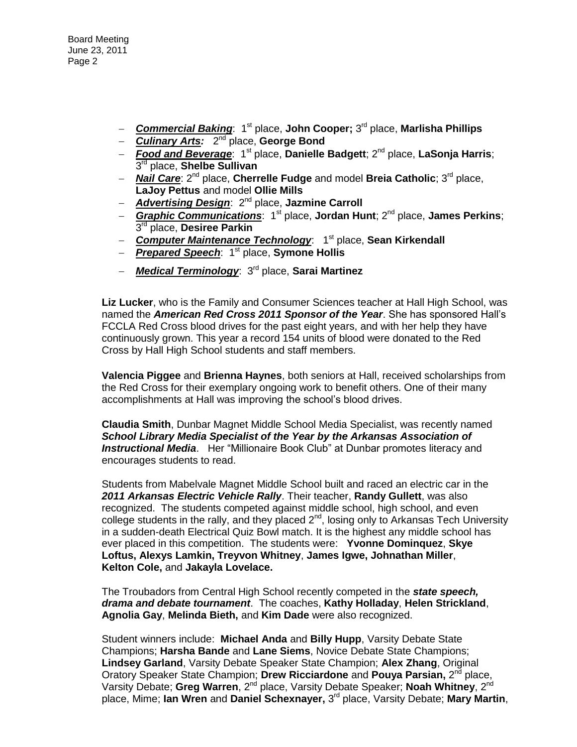Board Meeting June 23, 2011 Page 2

- $-$  **Commercial Baking**: 1<sup>st</sup> place, John Cooper; 3<sup>rd</sup> place, Marlisha Phillips
- **Culinary Arts: 2<sup>nd</sup> place, George Bond**
- *Food and Beverage*: 1st place, **Danielle Badgett**; 2nd place, **LaSonja Harris**; 3 rd place, **Shelbe Sullivan**
- **Nail Care**: 2<sup>nd</sup> place, Cherrelle Fudge and model Breia Catholic: 3<sup>rd</sup> place, **LaJoy Pettus** and model **Ollie Mills**
- *Advertising Design*: 2nd place, **Jazmine Carroll**
- **Graphic Communications:** 1<sup>st</sup> place, **Jordan Hunt**; 2<sup>nd</sup> place, **James Perkins**; 3 rd place, **Desiree Parkin**
- **Computer Maintenance Technology**: 1<sup>st</sup> place, **Sean Kirkendall**
- **Prepared Speech**: 1<sup>st</sup> place, **Symone Hollis**
- *Medical Terminology*: 3rd place, **Sarai Martinez**

**Liz Lucker**, who is the Family and Consumer Sciences teacher at Hall High School, was named the *American Red Cross 2011 Sponsor of the Year*. She has sponsored Hall's FCCLA Red Cross blood drives for the past eight years, and with her help they have continuously grown. This year a record 154 units of blood were donated to the Red Cross by Hall High School students and staff members.

**Valencia Piggee** and **Brienna Haynes**, both seniors at Hall, received scholarships from the Red Cross for their exemplary ongoing work to benefit others. One of their many accomplishments at Hall was improving the school's blood drives.

**Claudia Smith**, Dunbar Magnet Middle School Media Specialist, was recently named *School Library Media Specialist of the Year by the Arkansas Association of Instructional Media*. Her "Millionaire Book Club" at Dunbar promotes literacy and encourages students to read.

Students from Mabelvale Magnet Middle School built and raced an electric car in the *2011 Arkansas Electric Vehicle Rally*. Their teacher, **Randy Gullett**, was also recognized. The students competed against middle school, high school, and even college students in the rally, and they placed  $2^{nd}$ , losing only to Arkansas Tech University in a sudden-death Electrical Quiz Bowl match. It is the highest any middle school has ever placed in this competition. The students were: **Yvonne Dominquez**, **Skye Loftus, Alexys Lamkin, Treyvon Whitney**, **James Igwe, Johnathan Miller**, **Kelton Cole,** and **Jakayla Lovelace.** 

The Troubadors from Central High School recently competed in the *state speech, drama and debate tournament*. The coaches, **Kathy Holladay**, **Helen Strickland**, **Agnolia Gay**, **Melinda Bieth,** and **Kim Dade** were also recognized.

Student winners include: **Michael Anda** and **Billy Hupp**, Varsity Debate State Champions; **Harsha Bande** and **Lane Siems**, Novice Debate State Champions; **Lindsey Garland**, Varsity Debate Speaker State Champion; **Alex Zhang**, Original Oratory Speaker State Champion; Drew Ricciardone and Pouya Parsian, 2<sup>nd</sup> place, Varsity Debate; Greg Warren, 2<sup>nd</sup> place, Varsity Debate Speaker; Noah Whitney, 2<sup>nd</sup> place, Mime; lan Wren and Daniel Schexnayer, 3<sup>rd</sup> place, Varsity Debate; Mary Martin,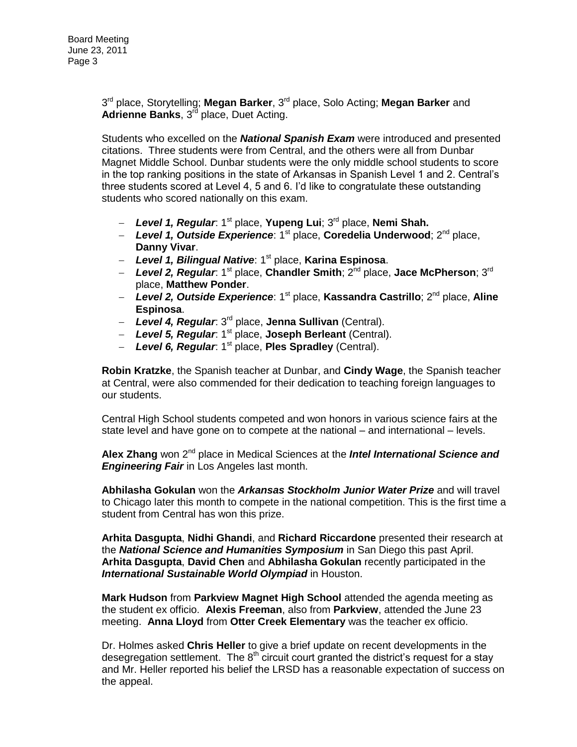3 rd place, Storytelling; **Megan Barker**, 3rd place, Solo Acting; **Megan Barker** and **Adrienne Banks**, 3rd place, Duet Acting.

Students who excelled on the *National Spanish Exam* were introduced and presented citations. Three students were from Central, and the others were all from Dunbar Magnet Middle School. Dunbar students were the only middle school students to score in the top ranking positions in the state of Arkansas in Spanish Level 1 and 2. Central's three students scored at Level 4, 5 and 6. I'd like to congratulate these outstanding students who scored nationally on this exam.

- *Level 1, Regular*: 1st place, **Yupeng Lui**; 3rd place, **Nemi Shah.**
- *Level 1, Outside Experience*: 1st place, **Coredelia Underwood**; 2nd place, **Danny Vivar**.
- *Level 1, Bilingual Native*: 1st place, **Karina Espinosa**.
- Level 2, Regular: 1<sup>st</sup> place, Chandler Smith; 2<sup>nd</sup> place, Jace McPherson; 3<sup>rd</sup> place, **Matthew Ponder**.
- *Level 2, Outside Experience*: 1st place, **Kassandra Castrillo**; 2nd place, **Aline Espinosa**.
- *Level 4, Regular*: 3rd place, **Jenna Sullivan** (Central).
- *Level 5, Regular*: 1st place, **Joseph Berleant** (Central).
- *Level 6, Regular*: 1st place, **Ples Spradley** (Central).

**Robin Kratzke**, the Spanish teacher at Dunbar, and **Cindy Wage**, the Spanish teacher at Central, were also commended for their dedication to teaching foreign languages to our students.

Central High School students competed and won honors in various science fairs at the state level and have gone on to compete at the national – and international – levels.

Alex Zhang won 2<sup>nd</sup> place in Medical Sciences at the *Intel International Science and Engineering Fair* in Los Angeles last month.

**Abhilasha Gokulan** won the *Arkansas Stockholm Junior Water Prize* and will travel to Chicago later this month to compete in the national competition. This is the first time a student from Central has won this prize.

**Arhita Dasgupta**, **Nidhi Ghandi**, and **Richard Riccardone** presented their research at the *National Science and Humanities Symposium* in San Diego this past April. **Arhita Dasgupta**, **David Chen** and **Abhilasha Gokulan** recently participated in the *International Sustainable World Olympiad* in Houston.

**Mark Hudson** from **Parkview Magnet High School** attended the agenda meeting as the student ex officio. **Alexis Freeman**, also from **Parkview**, attended the June 23 meeting. **Anna Lloyd** from **Otter Creek Elementary** was the teacher ex officio.

Dr. Holmes asked **Chris Heller** to give a brief update on recent developments in the desegregation settlement. The  $8<sup>th</sup>$  circuit court granted the district's request for a stay and Mr. Heller reported his belief the LRSD has a reasonable expectation of success on the appeal.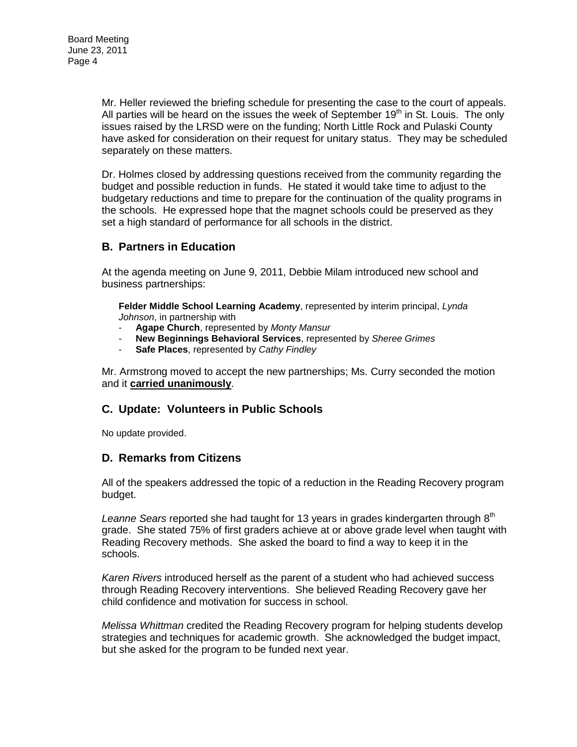Mr. Heller reviewed the briefing schedule for presenting the case to the court of appeals. All parties will be heard on the issues the week of September 19<sup>th</sup> in St. Louis. The only issues raised by the LRSD were on the funding; North Little Rock and Pulaski County have asked for consideration on their request for unitary status. They may be scheduled separately on these matters.

Dr. Holmes closed by addressing questions received from the community regarding the budget and possible reduction in funds. He stated it would take time to adjust to the budgetary reductions and time to prepare for the continuation of the quality programs in the schools. He expressed hope that the magnet schools could be preserved as they set a high standard of performance for all schools in the district.

### **B. Partners in Education**

At the agenda meeting on June 9, 2011, Debbie Milam introduced new school and business partnerships:

**Felder Middle School Learning Academy**, represented by interim principal, *Lynda Johnson*, in partnership with

- **Agape Church**, represented by *Monty Mansur*
- **New Beginnings Behavioral Services**, represented by *Sheree Grimes*
- **Safe Places**, represented by *Cathy Findley*

Mr. Armstrong moved to accept the new partnerships; Ms. Curry seconded the motion and it **carried unanimously**.

### **C. Update: Volunteers in Public Schools**

No update provided.

### **D. Remarks from Citizens**

All of the speakers addressed the topic of a reduction in the Reading Recovery program budget.

Leanne Sears reported she had taught for 13 years in grades kindergarten through 8<sup>th</sup> grade. She stated 75% of first graders achieve at or above grade level when taught with Reading Recovery methods. She asked the board to find a way to keep it in the schools.

*Karen Rivers* introduced herself as the parent of a student who had achieved success through Reading Recovery interventions. She believed Reading Recovery gave her child confidence and motivation for success in school.

*Melissa Whittman* credited the Reading Recovery program for helping students develop strategies and techniques for academic growth. She acknowledged the budget impact, but she asked for the program to be funded next year.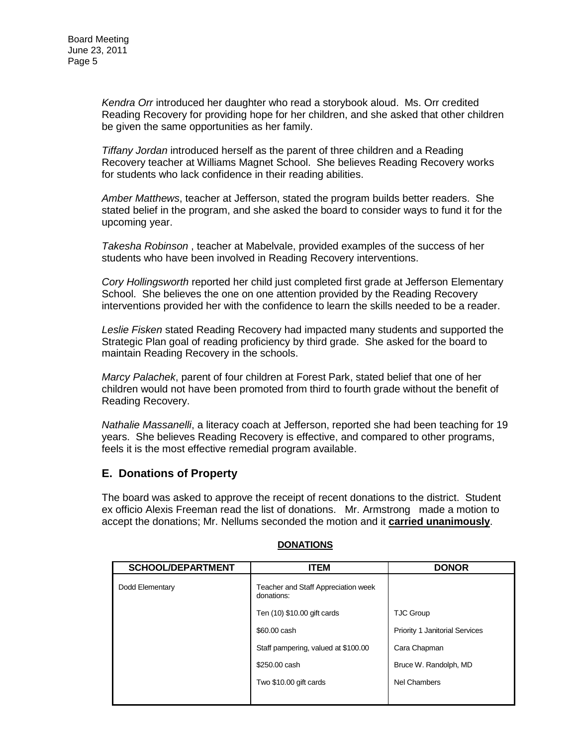*Kendra Orr* introduced her daughter who read a storybook aloud. Ms. Orr credited Reading Recovery for providing hope for her children, and she asked that other children be given the same opportunities as her family.

*Tiffany Jordan* introduced herself as the parent of three children and a Reading Recovery teacher at Williams Magnet School. She believes Reading Recovery works for students who lack confidence in their reading abilities.

*Amber Matthews*, teacher at Jefferson, stated the program builds better readers. She stated belief in the program, and she asked the board to consider ways to fund it for the upcoming year.

*Takesha Robinson* , teacher at Mabelvale, provided examples of the success of her students who have been involved in Reading Recovery interventions.

*Cory Hollingsworth* reported her child just completed first grade at Jefferson Elementary School. She believes the one on one attention provided by the Reading Recovery interventions provided her with the confidence to learn the skills needed to be a reader.

*Leslie Fisken* stated Reading Recovery had impacted many students and supported the Strategic Plan goal of reading proficiency by third grade. She asked for the board to maintain Reading Recovery in the schools.

*Marcy Palachek*, parent of four children at Forest Park, stated belief that one of her children would not have been promoted from third to fourth grade without the benefit of Reading Recovery.

*Nathalie Massanelli*, a literacy coach at Jefferson, reported she had been teaching for 19 years. She believes Reading Recovery is effective, and compared to other programs, feels it is the most effective remedial program available.

### **E. Donations of Property**

The board was asked to approve the receipt of recent donations to the district. Student ex officio Alexis Freeman read the list of donations. Mr. Armstrong made a motion to accept the donations; Mr. Nellums seconded the motion and it **carried unanimously**.

| <b>SCHOOL/DEPARTMENT</b> | <b>ITEM</b>                                       | <b>DONOR</b>                          |
|--------------------------|---------------------------------------------------|---------------------------------------|
| Dodd Elementary          | Teacher and Staff Appreciation week<br>donations: |                                       |
|                          | Ten (10) \$10.00 gift cards                       | <b>TJC Group</b>                      |
|                          | \$60,00 cash                                      | <b>Priority 1 Janitorial Services</b> |
|                          | Staff pampering, valued at \$100.00               | Cara Chapman                          |
|                          | \$250.00 cash                                     | Bruce W. Randolph, MD                 |
|                          | Two \$10.00 gift cards                            | Nel Chambers                          |
|                          |                                                   |                                       |

#### **DONATIONS**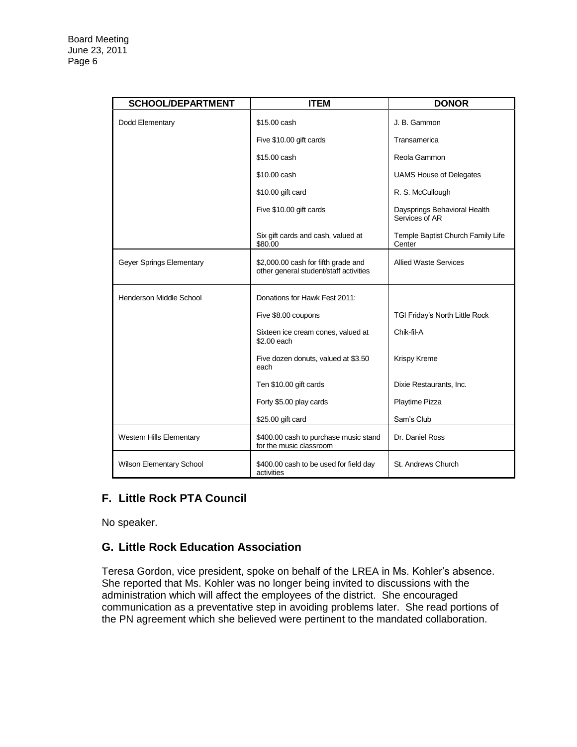| <b>SCHOOL/DEPARTMENT</b>        | <b>ITEM</b>                                                                   | <b>DONOR</b>                                   |
|---------------------------------|-------------------------------------------------------------------------------|------------------------------------------------|
| Dodd Elementary                 | \$15.00 cash                                                                  | J. B. Gammon                                   |
|                                 | Five \$10.00 gift cards                                                       | Transamerica                                   |
|                                 | \$15.00 cash                                                                  | Reola Gammon                                   |
|                                 | \$10.00 cash                                                                  | <b>UAMS House of Delegates</b>                 |
|                                 | \$10.00 gift card                                                             | R. S. McCullough                               |
|                                 | Five \$10.00 gift cards                                                       | Daysprings Behavioral Health<br>Services of AR |
|                                 | Six gift cards and cash, valued at<br>\$80.00                                 | Temple Baptist Church Family Life<br>Center    |
| Geyer Springs Elementary        | \$2,000.00 cash for fifth grade and<br>other general student/staff activities | <b>Allied Waste Services</b>                   |
| Henderson Middle School         | Donations for Hawk Fest 2011:                                                 |                                                |
|                                 | Five \$8.00 coupons                                                           | TGI Friday's North Little Rock                 |
|                                 | Sixteen ice cream cones, valued at<br>\$2.00 each                             | Chik-fil-A                                     |
|                                 | Five dozen donuts, valued at \$3.50<br>each                                   | Krispy Kreme                                   |
|                                 | Ten \$10.00 gift cards                                                        | Dixie Restaurants, Inc.                        |
|                                 | Forty \$5.00 play cards                                                       | Playtime Pizza                                 |
|                                 | \$25.00 gift card                                                             | Sam's Club                                     |
| <b>Western Hills Elementary</b> | \$400.00 cash to purchase music stand<br>for the music classroom              | Dr. Daniel Ross                                |
| Wilson Elementary School        | \$400.00 cash to be used for field day<br>activities                          | St. Andrews Church                             |

# **F. Little Rock PTA Council**

No speaker.

# **G. Little Rock Education Association**

Teresa Gordon, vice president, spoke on behalf of the LREA in Ms. Kohler's absence. She reported that Ms. Kohler was no longer being invited to discussions with the administration which will affect the employees of the district. She encouraged communication as a preventative step in avoiding problems later. She read portions of the PN agreement which she believed were pertinent to the mandated collaboration.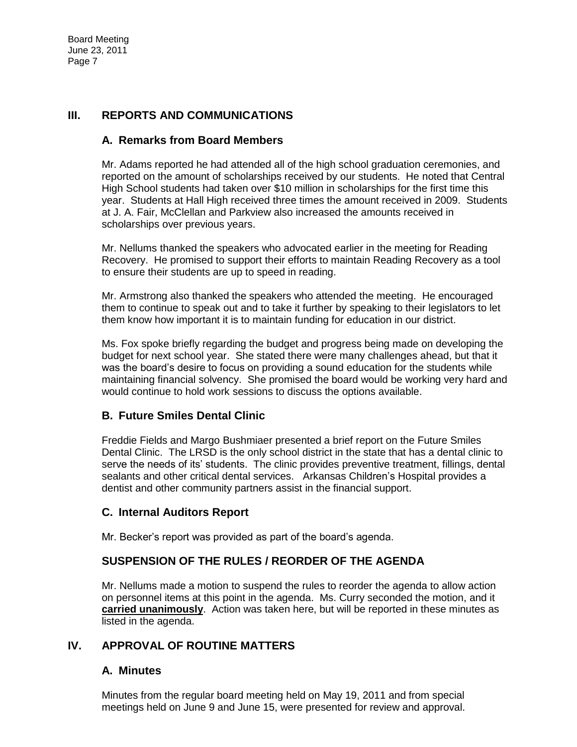Board Meeting June 23, 2011 Page 7

### **III. REPORTS AND COMMUNICATIONS**

#### **A. Remarks from Board Members**

Mr. Adams reported he had attended all of the high school graduation ceremonies, and reported on the amount of scholarships received by our students. He noted that Central High School students had taken over \$10 million in scholarships for the first time this year. Students at Hall High received three times the amount received in 2009. Students at J. A. Fair, McClellan and Parkview also increased the amounts received in scholarships over previous years.

Mr. Nellums thanked the speakers who advocated earlier in the meeting for Reading Recovery. He promised to support their efforts to maintain Reading Recovery as a tool to ensure their students are up to speed in reading.

Mr. Armstrong also thanked the speakers who attended the meeting. He encouraged them to continue to speak out and to take it further by speaking to their legislators to let them know how important it is to maintain funding for education in our district.

Ms. Fox spoke briefly regarding the budget and progress being made on developing the budget for next school year. She stated there were many challenges ahead, but that it was the board's desire to focus on providing a sound education for the students while maintaining financial solvency. She promised the board would be working very hard and would continue to hold work sessions to discuss the options available.

### **B. Future Smiles Dental Clinic**

Freddie Fields and Margo Bushmiaer presented a brief report on the Future Smiles Dental Clinic. The LRSD is the only school district in the state that has a dental clinic to serve the needs of its' students. The clinic provides preventive treatment, fillings, dental sealants and other critical dental services. Arkansas Children's Hospital provides a dentist and other community partners assist in the financial support.

### **C. Internal Auditors Report**

Mr. Becker's report was provided as part of the board's agenda.

### **SUSPENSION OF THE RULES / REORDER OF THE AGENDA**

Mr. Nellums made a motion to suspend the rules to reorder the agenda to allow action on personnel items at this point in the agenda. Ms. Curry seconded the motion, and it **carried unanimously**. Action was taken here, but will be reported in these minutes as listed in the agenda.

### **IV. APPROVAL OF ROUTINE MATTERS**

### **A. Minutes**

Minutes from the regular board meeting held on May 19, 2011 and from special meetings held on June 9 and June 15, were presented for review and approval.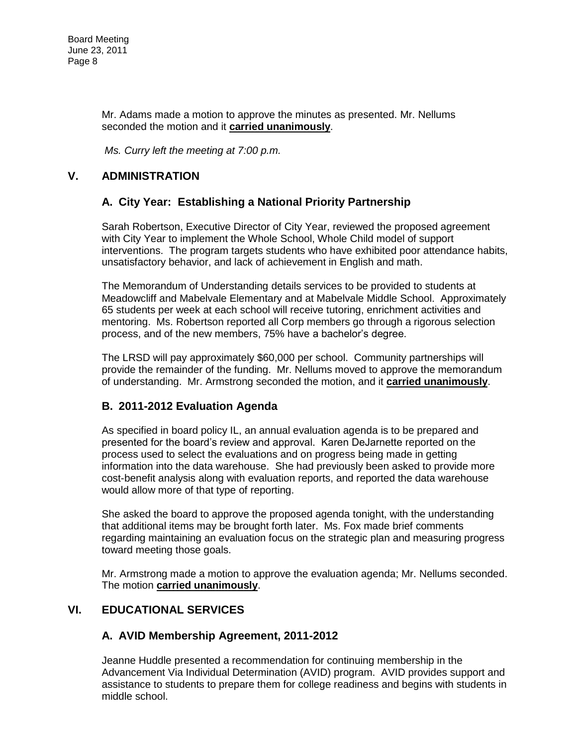Mr. Adams made a motion to approve the minutes as presented. Mr. Nellums seconded the motion and it **carried unanimously**.

*Ms. Curry left the meeting at 7:00 p.m.* 

## **V. ADMINISTRATION**

### **A. City Year: Establishing a National Priority Partnership**

Sarah Robertson, Executive Director of City Year, reviewed the proposed agreement with City Year to implement the Whole School, Whole Child model of support interventions. The program targets students who have exhibited poor attendance habits, unsatisfactory behavior, and lack of achievement in English and math.

The Memorandum of Understanding details services to be provided to students at Meadowcliff and Mabelvale Elementary and at Mabelvale Middle School. Approximately 65 students per week at each school will receive tutoring, enrichment activities and mentoring. Ms. Robertson reported all Corp members go through a rigorous selection process, and of the new members, 75% have a bachelor's degree.

The LRSD will pay approximately \$60,000 per school. Community partnerships will provide the remainder of the funding. Mr. Nellums moved to approve the memorandum of understanding. Mr. Armstrong seconded the motion, and it **carried unanimously**.

### **B. 2011-2012 Evaluation Agenda**

As specified in board policy IL, an annual evaluation agenda is to be prepared and presented for the board's review and approval. Karen DeJarnette reported on the process used to select the evaluations and on progress being made in getting information into the data warehouse. She had previously been asked to provide more cost-benefit analysis along with evaluation reports, and reported the data warehouse would allow more of that type of reporting.

She asked the board to approve the proposed agenda tonight, with the understanding that additional items may be brought forth later. Ms. Fox made brief comments regarding maintaining an evaluation focus on the strategic plan and measuring progress toward meeting those goals.

Mr. Armstrong made a motion to approve the evaluation agenda; Mr. Nellums seconded. The motion **carried unanimously**.

### **VI. EDUCATIONAL SERVICES**

### **A. AVID Membership Agreement, 2011-2012**

Jeanne Huddle presented a recommendation for continuing membership in the Advancement Via Individual Determination (AVID) program. AVID provides support and assistance to students to prepare them for college readiness and begins with students in middle school.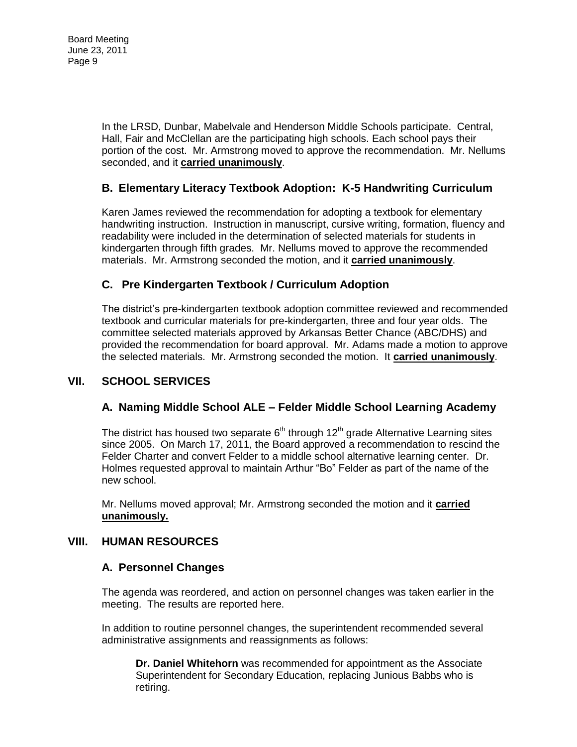In the LRSD, Dunbar, Mabelvale and Henderson Middle Schools participate. Central, Hall, Fair and McClellan are the participating high schools. Each school pays their portion of the cost. Mr. Armstrong moved to approve the recommendation. Mr. Nellums seconded, and it **carried unanimously**.

### **B. Elementary Literacy Textbook Adoption: K-5 Handwriting Curriculum**

Karen James reviewed the recommendation for adopting a textbook for elementary handwriting instruction. Instruction in manuscript, cursive writing, formation, fluency and readability were included in the determination of selected materials for students in kindergarten through fifth grades. Mr. Nellums moved to approve the recommended materials. Mr. Armstrong seconded the motion, and it **carried unanimously**.

# **C. Pre Kindergarten Textbook / Curriculum Adoption**

The district's pre-kindergarten textbook adoption committee reviewed and recommended textbook and curricular materials for pre-kindergarten, three and four year olds. The committee selected materials approved by Arkansas Better Chance (ABC/DHS) and provided the recommendation for board approval. Mr. Adams made a motion to approve the selected materials. Mr. Armstrong seconded the motion. It **carried unanimously**.

# **VII. SCHOOL SERVICES**

### **A. Naming Middle School ALE – Felder Middle School Learning Academy**

The district has housed two separate  $6<sup>th</sup>$  through 12<sup>th</sup> grade Alternative Learning sites since 2005. On March 17, 2011, the Board approved a recommendation to rescind the Felder Charter and convert Felder to a middle school alternative learning center. Dr. Holmes requested approval to maintain Arthur "Bo" Felder as part of the name of the new school.

Mr. Nellums moved approval; Mr. Armstrong seconded the motion and it **carried unanimously.** 

### **VIII. HUMAN RESOURCES**

### **A. Personnel Changes**

The agenda was reordered, and action on personnel changes was taken earlier in the meeting. The results are reported here.

In addition to routine personnel changes, the superintendent recommended several administrative assignments and reassignments as follows:

**Dr. Daniel Whitehorn** was recommended for appointment as the Associate Superintendent for Secondary Education, replacing Junious Babbs who is retiring.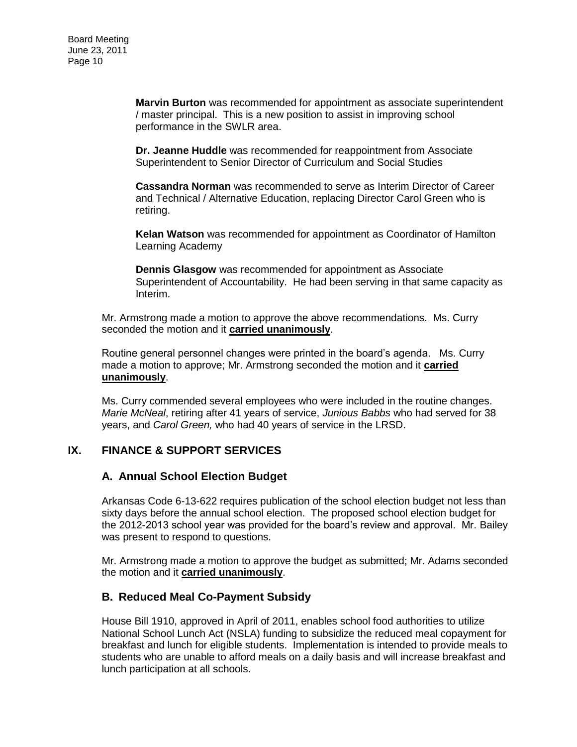**Marvin Burton** was recommended for appointment as associate superintendent / master principal. This is a new position to assist in improving school performance in the SWLR area.

**Dr. Jeanne Huddle** was recommended for reappointment from Associate Superintendent to Senior Director of Curriculum and Social Studies

**Cassandra Norman** was recommended to serve as Interim Director of Career and Technical / Alternative Education, replacing Director Carol Green who is retiring.

**Kelan Watson** was recommended for appointment as Coordinator of Hamilton Learning Academy

**Dennis Glasgow** was recommended for appointment as Associate Superintendent of Accountability. He had been serving in that same capacity as Interim.

Mr. Armstrong made a motion to approve the above recommendations. Ms. Curry seconded the motion and it **carried unanimously**.

Routine general personnel changes were printed in the board's agenda. Ms. Curry made a motion to approve; Mr. Armstrong seconded the motion and it **carried unanimously**.

Ms. Curry commended several employees who were included in the routine changes. *Marie McNeal*, retiring after 41 years of service, *Junious Babbs* who had served for 38 years, and *Carol Green,* who had 40 years of service in the LRSD.

### **IX. FINANCE & SUPPORT SERVICES**

#### **A. Annual School Election Budget**

Arkansas Code 6-13-622 requires publication of the school election budget not less than sixty days before the annual school election. The proposed school election budget for the 2012-2013 school year was provided for the board's review and approval. Mr. Bailey was present to respond to questions.

Mr. Armstrong made a motion to approve the budget as submitted; Mr. Adams seconded the motion and it **carried unanimously**.

#### **B. Reduced Meal Co-Payment Subsidy**

House Bill 1910, approved in April of 2011, enables school food authorities to utilize National School Lunch Act (NSLA) funding to subsidize the reduced meal copayment for breakfast and lunch for eligible students. Implementation is intended to provide meals to students who are unable to afford meals on a daily basis and will increase breakfast and lunch participation at all schools.